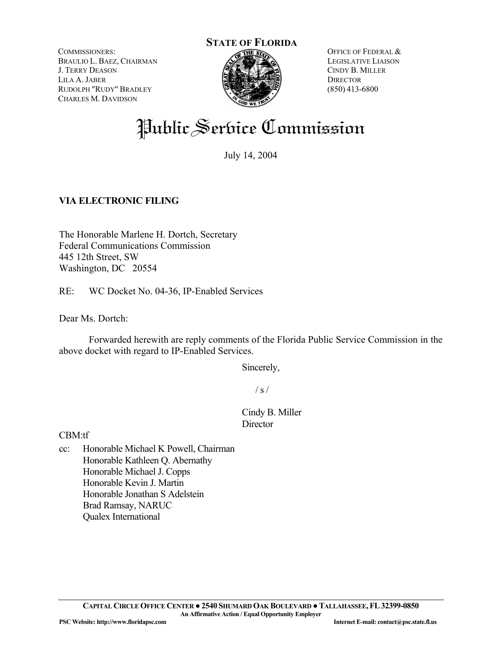COMMISSIONERS: BRAULIO L. BAEZ, CHAIRMAN J. TERRY DEASON LILA A. JABER RUDOLPH "RUDY" BRADLEY CHARLES M. DAVIDSON



OFFICE OF FEDERAL & LEGISLATIVE LIAISON CINDY B. MILLER **DIRECTOR** (850) 413-6800

# Public Service Commission

July 14, 2004

# **VIA ELECTRONIC FILING**

The Honorable Marlene H. Dortch, Secretary Federal Communications Commission 445 12th Street, SW Washington, DC 20554

RE: WC Docket No. 04-36, IP-Enabled Services

Dear Ms. Dortch:

 Forwarded herewith are reply comments of the Florida Public Service Commission in the above docket with regard to IP-Enabled Services.

Sincerely,

 $/ s /$ 

# Cindy B. Miller **Director**

CBM:tf

cc: Honorable Michael K Powell, Chairman Honorable Kathleen Q. Abernathy Honorable Michael J. Copps Honorable Kevin J. Martin Honorable Jonathan S Adelstein Brad Ramsay, NARUC Qualex International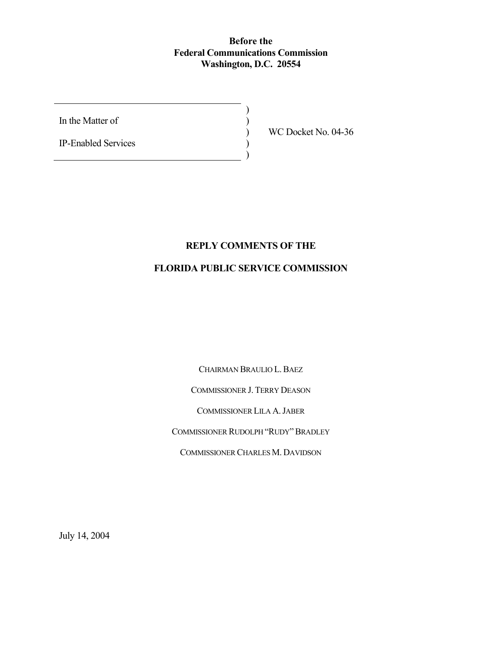## **Before the Federal Communications Commission Washington, D.C. 20554**

)  $\overline{)}$ ) ) )

In the Matter of

IP-Enabled Services

WC Docket No. 04-36

## **REPLY COMMENTS OF THE**

## **FLORIDA PUBLIC SERVICE COMMISSION**

CHAIRMAN BRAULIO L.BAEZ

COMMISSIONER J. TERRY DEASON

COMMISSIONER LILA A.JABER

COMMISSIONER RUDOLPH "RUDY"BRADLEY

COMMISSIONER CHARLES M. DAVIDSON

July 14, 2004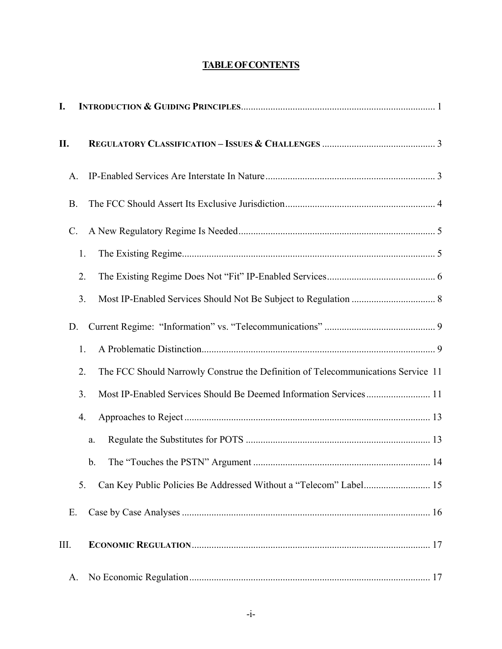# **TABLEOFCONTENTS**

| I.   |                                                                                        |  |
|------|----------------------------------------------------------------------------------------|--|
| II.  |                                                                                        |  |
|      | A.                                                                                     |  |
|      | <b>B.</b>                                                                              |  |
|      | $\mathcal{C}$ .                                                                        |  |
|      | 1.                                                                                     |  |
|      | 2.                                                                                     |  |
|      | 3.                                                                                     |  |
|      | D.                                                                                     |  |
|      | 1.                                                                                     |  |
|      | The FCC Should Narrowly Construe the Definition of Telecommunications Service 11<br>2. |  |
|      | Most IP-Enabled Services Should Be Deemed Information Services 11<br>3.                |  |
|      | 4.                                                                                     |  |
|      | a.                                                                                     |  |
|      | $\mathbf b$ .                                                                          |  |
|      | 5.                                                                                     |  |
|      | E.                                                                                     |  |
| III. |                                                                                        |  |
|      | А.                                                                                     |  |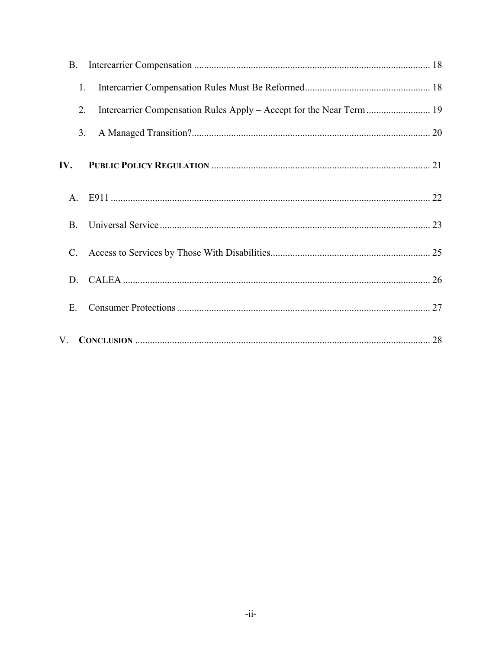| <b>B.</b>       |    |
|-----------------|----|
| 1.              |    |
| 2.              |    |
| 3.              |    |
| IV.             |    |
| $A_{\cdot}$     |    |
| B <sub>r</sub>  |    |
| $\mathcal{C}$ . |    |
| D.              |    |
| Ε.              |    |
| $V_{\cdot}$     | 28 |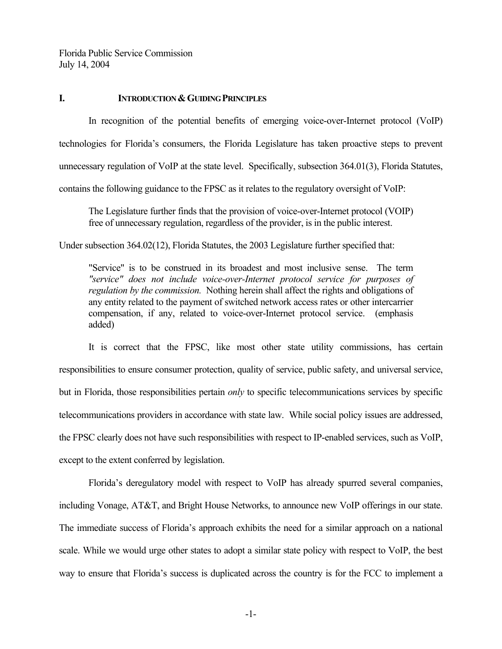#### **I. INTRODUCTION & GUIDING PRINCIPLES**

In recognition of the potential benefits of emerging voice-over-Internet protocol (VoIP) technologies for Florida's consumers, the Florida Legislature has taken proactive steps to prevent unnecessary regulation of VoIP at the state level. Specifically, subsection 364.01(3), Florida Statutes, contains the following guidance to the FPSC as it relates to the regulatory oversight of VoIP:

The Legislature further finds that the provision of voice-over-Internet protocol (VOIP) free of unnecessary regulation, regardless of the provider, is in the public interest.

Under subsection 364.02(12), Florida Statutes, the 2003 Legislature further specified that:

"Service" is to be construed in its broadest and most inclusive sense. The term *"service" does not include voice-over-Internet protocol service for purposes of regulation by the commission.* Nothing herein shall affect the rights and obligations of any entity related to the payment of switched network access rates or other intercarrier compensation, if any, related to voice-over-Internet protocol service. (emphasis added)

It is correct that the FPSC, like most other state utility commissions, has certain responsibilities to ensure consumer protection, quality of service, public safety, and universal service, but in Florida, those responsibilities pertain *only* to specific telecommunications services by specific telecommunications providers in accordance with state law. While social policy issues are addressed, the FPSC clearly does not have such responsibilities with respect to IP-enabled services, such as VoIP, except to the extent conferred by legislation.

Florida's deregulatory model with respect to VoIP has already spurred several companies, including Vonage, AT&T, and Bright House Networks, to announce new VoIP offerings in our state. The immediate success of Florida's approach exhibits the need for a similar approach on a national scale. While we would urge other states to adopt a similar state policy with respect to VoIP, the best way to ensure that Florida's success is duplicated across the country is for the FCC to implement a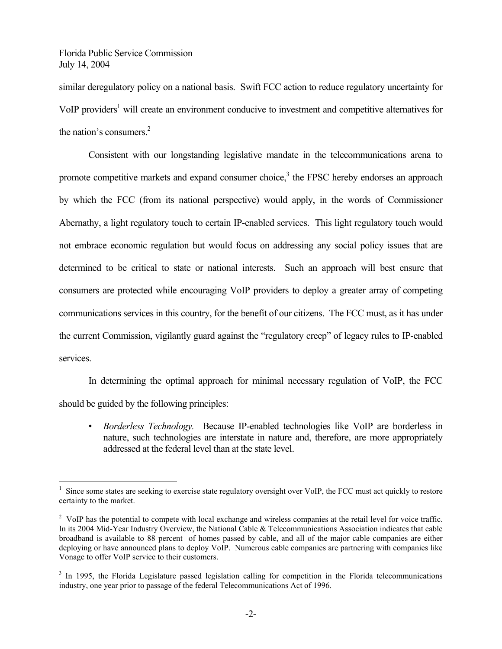$\overline{a}$ 

similar deregulatory policy on a national basis. Swift FCC action to reduce regulatory uncertainty for VoIP providers<sup>1</sup> will create an environment conducive to investment and competitive alternatives for the nation's consumers<sup>2</sup>

Consistent with our longstanding legislative mandate in the telecommunications arena to promote competitive markets and expand consumer choice,<sup>3</sup> the FPSC hereby endorses an approach by which the FCC (from its national perspective) would apply, in the words of Commissioner Abernathy, a light regulatory touch to certain IP-enabled services. This light regulatory touch would not embrace economic regulation but would focus on addressing any social policy issues that are determined to be critical to state or national interests. Such an approach will best ensure that consumers are protected while encouraging VoIP providers to deploy a greater array of competing communications services in this country, for the benefit of our citizens. The FCC must, as it has under the current Commission, vigilantly guard against the "regulatory creep" of legacy rules to IP-enabled services.

In determining the optimal approach for minimal necessary regulation of VoIP, the FCC should be guided by the following principles:

• *Borderless Technology.* Because IP-enabled technologies like VoIP are borderless in nature, such technologies are interstate in nature and, therefore, are more appropriately addressed at the federal level than at the state level.

<sup>&</sup>lt;sup>1</sup> Since some states are seeking to exercise state regulatory oversight over VoIP, the FCC must act quickly to restore certainty to the market.

 $2$  VoIP has the potential to compete with local exchange and wireless companies at the retail level for voice traffic. In its 2004 Mid-Year Industry Overview, the National Cable & Telecommunications Association indicates that cable broadband is available to 88 percent of homes passed by cable, and all of the major cable companies are either deploying or have announced plans to deploy VoIP. Numerous cable companies are partnering with companies like Vonage to offer VoIP service to their customers.

<sup>&</sup>lt;sup>3</sup> In 1995, the Florida Legislature passed legislation calling for competition in the Florida telecommunications industry, one year prior to passage of the federal Telecommunications Act of 1996.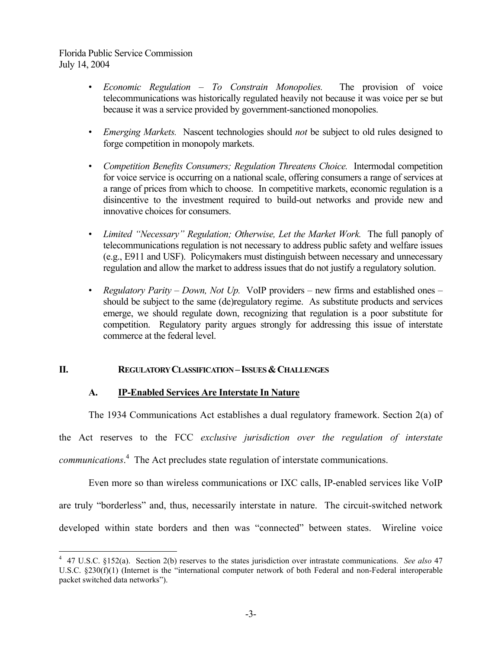$\overline{a}$ 

- *Economic Regulation To Constrain Monopolies.* The provision of voice telecommunications was historically regulated heavily not because it was voice per se but because it was a service provided by government-sanctioned monopolies.
- *Emerging Markets.* Nascent technologies should *not* be subject to old rules designed to forge competition in monopoly markets.
- *Competition Benefits Consumers; Regulation Threatens Choice.* Intermodal competition for voice service is occurring on a national scale, offering consumers a range of services at a range of prices from which to choose. In competitive markets, economic regulation is a disincentive to the investment required to build-out networks and provide new and innovative choices for consumers.
- *Limited "Necessary" Regulation; Otherwise, Let the Market Work.* The full panoply of telecommunications regulation is not necessary to address public safety and welfare issues (e.g., E911 and USF). Policymakers must distinguish between necessary and unnecessary regulation and allow the market to address issues that do not justify a regulatory solution.
- *Regulatory Parity Down, Not Up.* VoIP providers new firms and established ones should be subject to the same (de)regulatory regime. As substitute products and services emerge, we should regulate down, recognizing that regulation is a poor substitute for competition. Regulatory parity argues strongly for addressing this issue of interstate commerce at the federal level.

## **II. REGULATORY CLASSIFICATION – ISSUES & CHALLENGES**

## **A. IP-Enabled Services Are Interstate In Nature**

The 1934 Communications Act establishes a dual regulatory framework. Section 2(a) of

the Act reserves to the FCC *exclusive jurisdiction over the regulation of interstate communications*. 4 The Act precludes state regulation of interstate communications.

Even more so than wireless communications or IXC calls, IP-enabled services like VoIP are truly "borderless" and, thus, necessarily interstate in nature. The circuit-switched network developed within state borders and then was "connected" between states. Wireline voice

<sup>4</sup> 47 U.S.C. §152(a). Section 2(b) reserves to the states jurisdiction over intrastate communications. *See also* 47 U.S.C. §230(f)(1) (Internet is the "international computer network of both Federal and non-Federal interoperable packet switched data networks").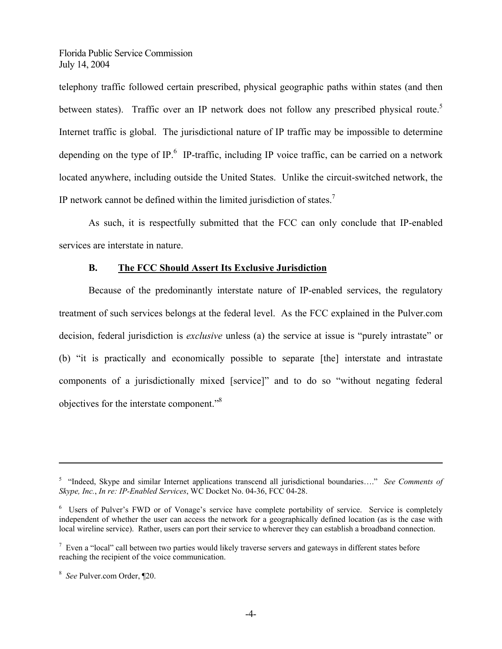telephony traffic followed certain prescribed, physical geographic paths within states (and then between states). Traffic over an IP network does not follow any prescribed physical route.<sup>5</sup> Internet traffic is global. The jurisdictional nature of IP traffic may be impossible to determine depending on the type of IP. $\frac{6}{5}$  IP-traffic, including IP voice traffic, can be carried on a network located anywhere, including outside the United States. Unlike the circuit-switched network, the IP network cannot be defined within the limited jurisdiction of states.7

As such, it is respectfully submitted that the FCC can only conclude that IP-enabled services are interstate in nature.

## **B. The FCC Should Assert Its Exclusive Jurisdiction**

Because of the predominantly interstate nature of IP-enabled services, the regulatory treatment of such services belongs at the federal level. As the FCC explained in the Pulver.com decision, federal jurisdiction is *exclusive* unless (a) the service at issue is "purely intrastate" or (b) "it is practically and economically possible to separate [the] interstate and intrastate components of a jurisdictionally mixed [service]" and to do so "without negating federal objectives for the interstate component."8

 $\overline{a}$ 

<sup>5</sup> "Indeed, Skype and similar Internet applications transcend all jurisdictional boundaries…." *See Comments of Skype, Inc.*, *In re: IP-Enabled Services*, WC Docket No. 04-36, FCC 04-28.

<sup>&</sup>lt;sup>6</sup> Users of Pulver's FWD or of Vonage's service have complete portability of service. Service is completely independent of whether the user can access the network for a geographically defined location (as is the case with local wireline service). Rather, users can port their service to wherever they can establish a broadband connection.

 $<sup>7</sup>$  Even a "local" call between two parties would likely traverse servers and gateways in different states before</sup> reaching the recipient of the voice communication.

<sup>8</sup> *See* Pulver.com Order, ¶20.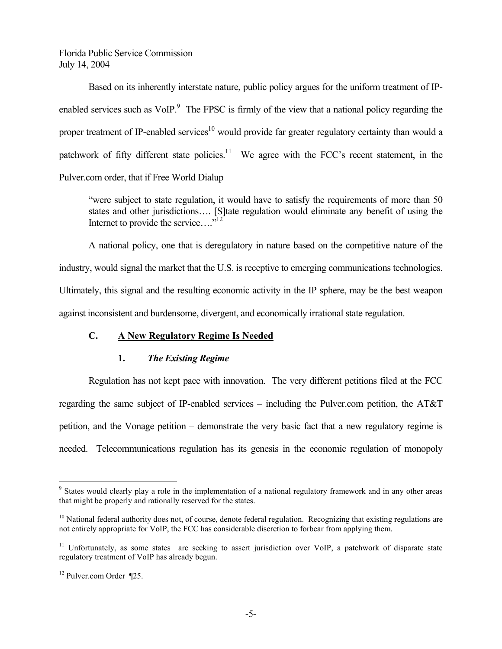Based on its inherently interstate nature, public policy argues for the uniform treatment of IPenabled services such as  $VoIP<sup>9</sup>$ . The FPSC is firmly of the view that a national policy regarding the proper treatment of IP-enabled services<sup>10</sup> would provide far greater regulatory certainty than would a patchwork of fifty different state policies.<sup>11</sup> We agree with the FCC's recent statement, in the Pulver.com order, that if Free World Dialup

"were subject to state regulation, it would have to satisfy the requirements of more than 50 states and other jurisdictions…. [S]tate regulation would eliminate any benefit of using the Internet to provide the service...."<sup>12</sup>

A national policy, one that is deregulatory in nature based on the competitive nature of the industry, would signal the market that the U.S. is receptive to emerging communications technologies. Ultimately, this signal and the resulting economic activity in the IP sphere, may be the best weapon against inconsistent and burdensome, divergent, and economically irrational state regulation.

## **C. A New Regulatory Regime Is Needed**

## **1.** *The Existing Regime*

Regulation has not kept pace with innovation. The very different petitions filed at the FCC regarding the same subject of IP-enabled services – including the Pulver.com petition, the AT&T petition, and the Vonage petition – demonstrate the very basic fact that a new regulatory regime is needed. Telecommunications regulation has its genesis in the economic regulation of monopoly

 $\overline{a}$ 

<sup>&</sup>lt;sup>9</sup> States would clearly play a role in the implementation of a national regulatory framework and in any other areas that might be properly and rationally reserved for the states.

<sup>&</sup>lt;sup>10</sup> National federal authority does not, of course, denote federal regulation. Recognizing that existing regulations are not entirely appropriate for VoIP, the FCC has considerable discretion to forbear from applying them.

<sup>&</sup>lt;sup>11</sup> Unfortunately, as some states are seeking to assert jurisdiction over VoIP, a patchwork of disparate state regulatory treatment of VoIP has already begun.

<sup>12</sup> Pulver.com Order ¶25.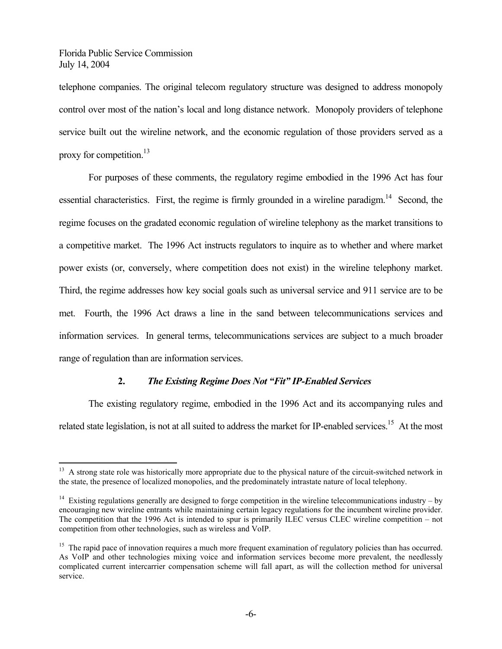1

telephone companies. The original telecom regulatory structure was designed to address monopoly control over most of the nation's local and long distance network. Monopoly providers of telephone service built out the wireline network, and the economic regulation of those providers served as a proxy for competition. $^{13}$ 

For purposes of these comments, the regulatory regime embodied in the 1996 Act has four essential characteristics. First, the regime is firmly grounded in a wireline paradigm.<sup>14</sup> Second, the regime focuses on the gradated economic regulation of wireline telephony as the market transitions to a competitive market. The 1996 Act instructs regulators to inquire as to whether and where market power exists (or, conversely, where competition does not exist) in the wireline telephony market. Third, the regime addresses how key social goals such as universal service and 911 service are to be met. Fourth, the 1996 Act draws a line in the sand between telecommunications services and information services. In general terms, telecommunications services are subject to a much broader range of regulation than are information services.

## **2.** *The Existing Regime Does Not "Fit" IP-Enabled Services*

The existing regulatory regime, embodied in the 1996 Act and its accompanying rules and related state legislation, is not at all suited to address the market for IP-enabled services.<sup>15</sup> At the most

<sup>&</sup>lt;sup>13</sup> A strong state role was historically more appropriate due to the physical nature of the circuit-switched network in the state, the presence of localized monopolies, and the predominately intrastate nature of local telephony.

<sup>&</sup>lt;sup>14</sup> Existing regulations generally are designed to forge competition in the wireline telecommunications industry – by encouraging new wireline entrants while maintaining certain legacy regulations for the incumbent wireline provider. The competition that the 1996 Act is intended to spur is primarily ILEC versus CLEC wireline competition – not competition from other technologies, such as wireless and VoIP.

<sup>&</sup>lt;sup>15</sup> The rapid pace of innovation requires a much more frequent examination of regulatory policies than has occurred. As VoIP and other technologies mixing voice and information services become more prevalent, the needlessly complicated current intercarrier compensation scheme will fall apart, as will the collection method for universal service.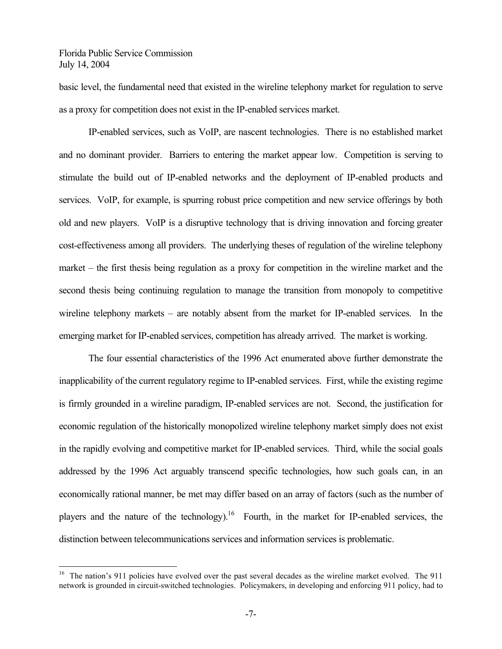1

basic level, the fundamental need that existed in the wireline telephony market for regulation to serve as a proxy for competition does not exist in the IP-enabled services market.

IP-enabled services, such as VoIP, are nascent technologies. There is no established market and no dominant provider. Barriers to entering the market appear low. Competition is serving to stimulate the build out of IP-enabled networks and the deployment of IP-enabled products and services. VoIP, for example, is spurring robust price competition and new service offerings by both old and new players. VoIP is a disruptive technology that is driving innovation and forcing greater cost-effectiveness among all providers. The underlying theses of regulation of the wireline telephony market – the first thesis being regulation as a proxy for competition in the wireline market and the second thesis being continuing regulation to manage the transition from monopoly to competitive wireline telephony markets – are notably absent from the market for IP-enabled services. In the emerging market for IP-enabled services, competition has already arrived. The market is working.

The four essential characteristics of the 1996 Act enumerated above further demonstrate the inapplicability of the current regulatory regime to IP-enabled services. First, while the existing regime is firmly grounded in a wireline paradigm, IP-enabled services are not. Second, the justification for economic regulation of the historically monopolized wireline telephony market simply does not exist in the rapidly evolving and competitive market for IP-enabled services. Third, while the social goals addressed by the 1996 Act arguably transcend specific technologies, how such goals can, in an economically rational manner, be met may differ based on an array of factors (such as the number of players and the nature of the technology).<sup>16</sup> Fourth, in the market for IP-enabled services, the distinction between telecommunications services and information services is problematic.

<sup>&</sup>lt;sup>16</sup> The nation's 911 policies have evolved over the past several decades as the wireline market evolved. The 911 network is grounded in circuit-switched technologies. Policymakers, in developing and enforcing 911 policy, had to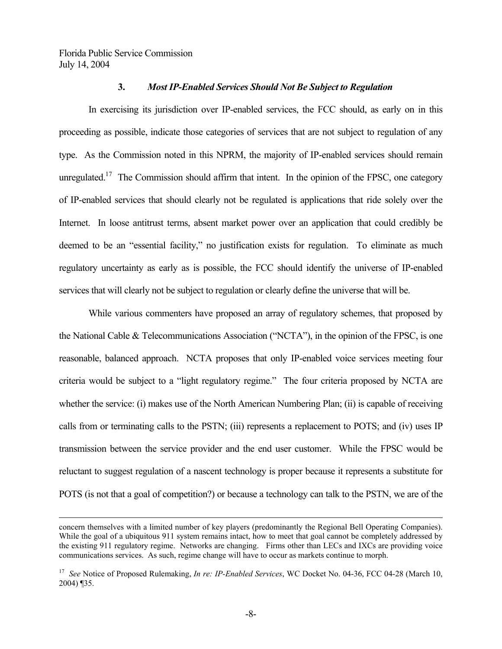### **3.** *Most IP-Enabled Services Should Not Be Subject to Regulation*

In exercising its jurisdiction over IP-enabled services, the FCC should, as early on in this proceeding as possible, indicate those categories of services that are not subject to regulation of any type. As the Commission noted in this NPRM, the majority of IP-enabled services should remain unregulated.<sup>17</sup> The Commission should affirm that intent. In the opinion of the FPSC, one category of IP-enabled services that should clearly not be regulated is applications that ride solely over the Internet. In loose antitrust terms, absent market power over an application that could credibly be deemed to be an "essential facility," no justification exists for regulation. To eliminate as much regulatory uncertainty as early as is possible, the FCC should identify the universe of IP-enabled services that will clearly not be subject to regulation or clearly define the universe that will be.

While various commenters have proposed an array of regulatory schemes, that proposed by the National Cable & Telecommunications Association ("NCTA"), in the opinion of the FPSC, is one reasonable, balanced approach. NCTA proposes that only IP-enabled voice services meeting four criteria would be subject to a "light regulatory regime." The four criteria proposed by NCTA are whether the service: (i) makes use of the North American Numbering Plan; (ii) is capable of receiving calls from or terminating calls to the PSTN; (iii) represents a replacement to POTS; and (iv) uses IP transmission between the service provider and the end user customer. While the FPSC would be reluctant to suggest regulation of a nascent technology is proper because it represents a substitute for POTS (is not that a goal of competition?) or because a technology can talk to the PSTN, we are of the

concern themselves with a limited number of key players (predominantly the Regional Bell Operating Companies). While the goal of a ubiquitous 911 system remains intact, how to meet that goal cannot be completely addressed by the existing 911 regulatory regime. Networks are changing. Firms other than LECs and IXCs are providing voice communications services. As such, regime change will have to occur as markets continue to morph.

<sup>17</sup> *See* Notice of Proposed Rulemaking, *In re: IP-Enabled Services*, WC Docket No. 04-36, FCC 04-28 (March 10, 2004) ¶35.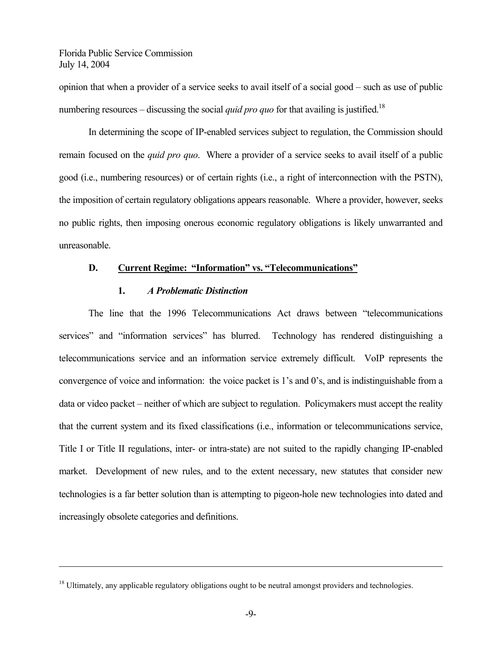$\overline{a}$ 

opinion that when a provider of a service seeks to avail itself of a social good – such as use of public numbering resources – discussing the social *quid pro quo* for that availing is justified.<sup>18</sup>

In determining the scope of IP-enabled services subject to regulation, the Commission should remain focused on the *quid pro quo*. Where a provider of a service seeks to avail itself of a public good (i.e., numbering resources) or of certain rights (i.e., a right of interconnection with the PSTN), the imposition of certain regulatory obligations appears reasonable. Where a provider, however, seeks no public rights, then imposing onerous economic regulatory obligations is likely unwarranted and unreasonable.

## **D. Current Regime: "Information" vs. "Telecommunications"**

#### **1.** *A Problematic Distinction*

The line that the 1996 Telecommunications Act draws between "telecommunications services" and "information services" has blurred. Technology has rendered distinguishing a telecommunications service and an information service extremely difficult. VoIP represents the convergence of voice and information: the voice packet is 1's and 0's, and is indistinguishable from a data or video packet – neither of which are subject to regulation. Policymakers must accept the reality that the current system and its fixed classifications (i.e., information or telecommunications service, Title I or Title II regulations, inter- or intra-state) are not suited to the rapidly changing IP-enabled market. Development of new rules, and to the extent necessary, new statutes that consider new technologies is a far better solution than is attempting to pigeon-hole new technologies into dated and increasingly obsolete categories and definitions.

<sup>&</sup>lt;sup>18</sup> Ultimately, any applicable regulatory obligations ought to be neutral amongst providers and technologies.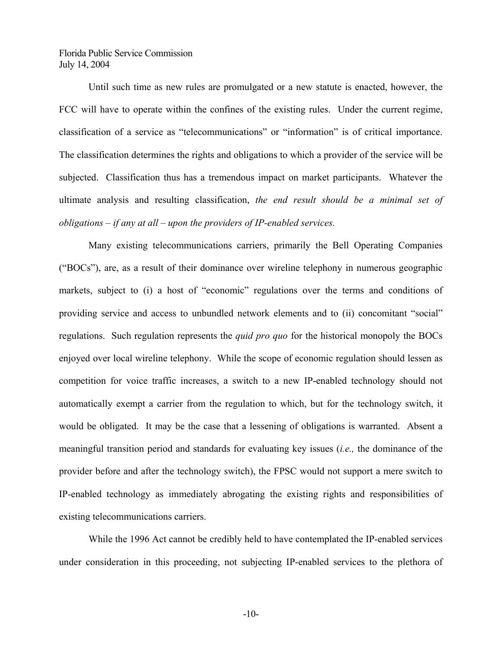Until such time as new rules are promulgated or a new statute is enacted, however, the FCC will have to operate within the confines of the existing rules. Under the current regime, classification of a service as "telecommunications" or "information" is of critical importance. The classification determines the rights and obligations to which a provider of the service will be subjected. Classification thus has a tremendous impact on market participants. Whatever the ultimate analysis and resulting classification, *the end result should be a minimal set of obligations – if any at all – upon the providers of IP-enabled services.*

Many existing telecommunications carriers, primarily the Bell Operating Companies ("BOCs"), are, as a result of their dominance over wireline telephony in numerous geographic markets, subject to (i) a host of "economic" regulations over the terms and conditions of providing service and access to unbundled network elements and to (ii) concomitant "social" regulations. Such regulation represents the *quid pro quo* for the historical monopoly the BOCs enjoyed over local wireline telephony. While the scope of economic regulation should lessen as competition for voice traffic increases, a switch to a new IP-enabled technology should not automatically exempt a carrier from the regulation to which, but for the technology switch, it would be obligated. It may be the case that a lessening of obligations is warranted. Absent a meaningful transition period and standards for evaluating key issues (*i.e.,* the dominance of the provider before and after the technology switch), the FPSC would not support a mere switch to IP-enabled technology as immediately abrogating the existing rights and responsibilities of existing telecommunications carriers.

While the 1996 Act cannot be credibly held to have contemplated the IP-enabled services under consideration in this proceeding, not subjecting IP-enabled services to the plethora of

-10-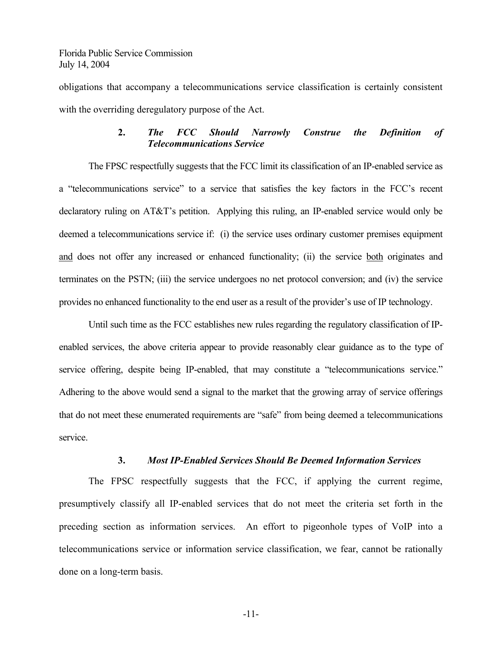obligations that accompany a telecommunications service classification is certainly consistent with the overriding deregulatory purpose of the Act.

## **2.** *The FCC Should Narrowly Construe the Definition of Telecommunications Service*

The FPSC respectfully suggests that the FCC limit its classification of an IP-enabled service as a "telecommunications service" to a service that satisfies the key factors in the FCC's recent declaratory ruling on AT&T's petition. Applying this ruling, an IP-enabled service would only be deemed a telecommunications service if: (i) the service uses ordinary customer premises equipment and does not offer any increased or enhanced functionality; (ii) the service both originates and terminates on the PSTN; (iii) the service undergoes no net protocol conversion; and (iv) the service provides no enhanced functionality to the end user as a result of the provider's use of IP technology.

Until such time as the FCC establishes new rules regarding the regulatory classification of IPenabled services, the above criteria appear to provide reasonably clear guidance as to the type of service offering, despite being IP-enabled, that may constitute a "telecommunications service." Adhering to the above would send a signal to the market that the growing array of service offerings that do not meet these enumerated requirements are "safe" from being deemed a telecommunications service.

## **3.** *Most IP-Enabled Services Should Be Deemed Information Services*

The FPSC respectfully suggests that the FCC, if applying the current regime, presumptively classify all IP-enabled services that do not meet the criteria set forth in the preceding section as information services. An effort to pigeonhole types of VoIP into a telecommunications service or information service classification, we fear, cannot be rationally done on a long-term basis.

-11-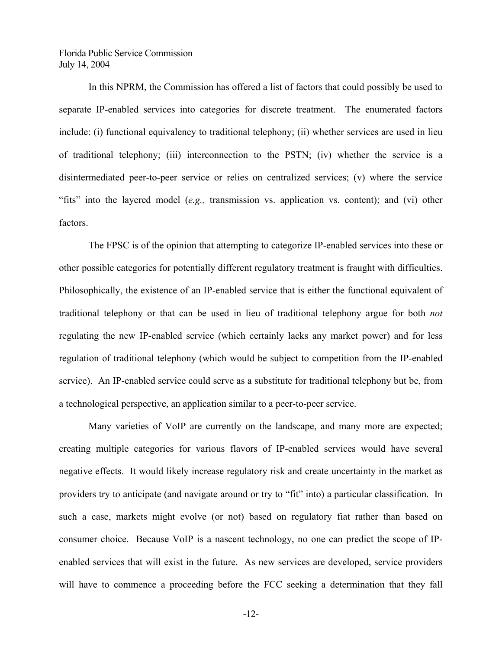In this NPRM, the Commission has offered a list of factors that could possibly be used to separate IP-enabled services into categories for discrete treatment. The enumerated factors include: (i) functional equivalency to traditional telephony; (ii) whether services are used in lieu of traditional telephony; (iii) interconnection to the PSTN; (iv) whether the service is a disintermediated peer-to-peer service or relies on centralized services; (v) where the service "fits" into the layered model (*e.g.,* transmission vs. application vs. content); and (vi) other factors.

The FPSC is of the opinion that attempting to categorize IP-enabled services into these or other possible categories for potentially different regulatory treatment is fraught with difficulties. Philosophically, the existence of an IP-enabled service that is either the functional equivalent of traditional telephony or that can be used in lieu of traditional telephony argue for both *not* regulating the new IP-enabled service (which certainly lacks any market power) and for less regulation of traditional telephony (which would be subject to competition from the IP-enabled service). An IP-enabled service could serve as a substitute for traditional telephony but be, from a technological perspective, an application similar to a peer-to-peer service.

Many varieties of VoIP are currently on the landscape, and many more are expected; creating multiple categories for various flavors of IP-enabled services would have several negative effects. It would likely increase regulatory risk and create uncertainty in the market as providers try to anticipate (and navigate around or try to "fit" into) a particular classification. In such a case, markets might evolve (or not) based on regulatory fiat rather than based on consumer choice. Because VoIP is a nascent technology, no one can predict the scope of IPenabled services that will exist in the future. As new services are developed, service providers will have to commence a proceeding before the FCC seeking a determination that they fall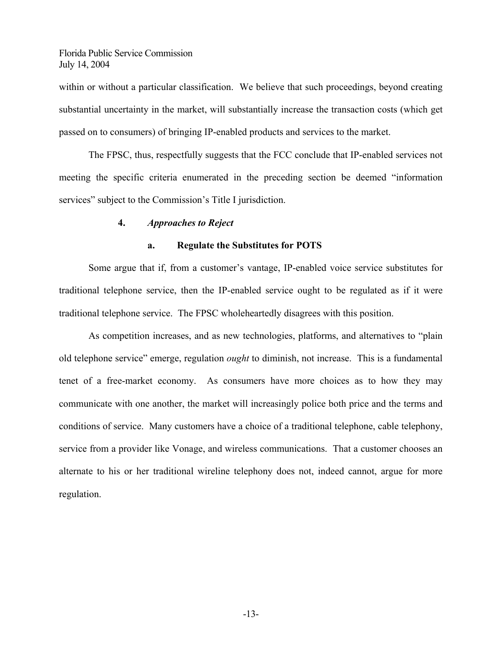within or without a particular classification. We believe that such proceedings, beyond creating substantial uncertainty in the market, will substantially increase the transaction costs (which get passed on to consumers) of bringing IP-enabled products and services to the market.

The FPSC, thus, respectfully suggests that the FCC conclude that IP-enabled services not meeting the specific criteria enumerated in the preceding section be deemed "information services" subject to the Commission's Title I jurisdiction.

#### **4.** *Approaches to Reject*

#### **a. Regulate the Substitutes for POTS**

Some argue that if, from a customer's vantage, IP-enabled voice service substitutes for traditional telephone service, then the IP-enabled service ought to be regulated as if it were traditional telephone service. The FPSC wholeheartedly disagrees with this position.

As competition increases, and as new technologies, platforms, and alternatives to "plain old telephone service" emerge, regulation *ought* to diminish, not increase. This is a fundamental tenet of a free-market economy. As consumers have more choices as to how they may communicate with one another, the market will increasingly police both price and the terms and conditions of service. Many customers have a choice of a traditional telephone, cable telephony, service from a provider like Vonage, and wireless communications. That a customer chooses an alternate to his or her traditional wireline telephony does not, indeed cannot, argue for more regulation.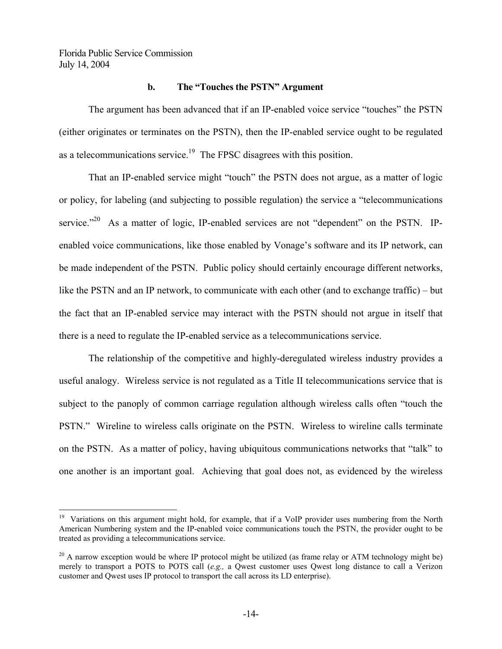$\overline{a}$ 

## **b. The "Touches the PSTN" Argument**

The argument has been advanced that if an IP-enabled voice service "touches" the PSTN (either originates or terminates on the PSTN), then the IP-enabled service ought to be regulated as a telecommunications service.<sup>19</sup> The FPSC disagrees with this position.

That an IP-enabled service might "touch" the PSTN does not argue, as a matter of logic or policy, for labeling (and subjecting to possible regulation) the service a "telecommunications service."<sup>20</sup> As a matter of logic, IP-enabled services are not "dependent" on the PSTN. IPenabled voice communications, like those enabled by Vonage's software and its IP network, can be made independent of the PSTN. Public policy should certainly encourage different networks, like the PSTN and an IP network, to communicate with each other (and to exchange traffic) – but the fact that an IP-enabled service may interact with the PSTN should not argue in itself that there is a need to regulate the IP-enabled service as a telecommunications service.

The relationship of the competitive and highly-deregulated wireless industry provides a useful analogy. Wireless service is not regulated as a Title II telecommunications service that is subject to the panoply of common carriage regulation although wireless calls often "touch the PSTN." Wireline to wireless calls originate on the PSTN. Wireless to wireline calls terminate on the PSTN. As a matter of policy, having ubiquitous communications networks that "talk" to one another is an important goal. Achieving that goal does not, as evidenced by the wireless

<sup>&</sup>lt;sup>19</sup> Variations on this argument might hold, for example, that if a VoIP provider uses numbering from the North American Numbering system and the IP-enabled voice communications touch the PSTN, the provider ought to be treated as providing a telecommunications service.

 $^{20}$  A narrow exception would be where IP protocol might be utilized (as frame relay or ATM technology might be) merely to transport a POTS to POTS call (*e.g.,* a Qwest customer uses Qwest long distance to call a Verizon customer and Qwest uses IP protocol to transport the call across its LD enterprise).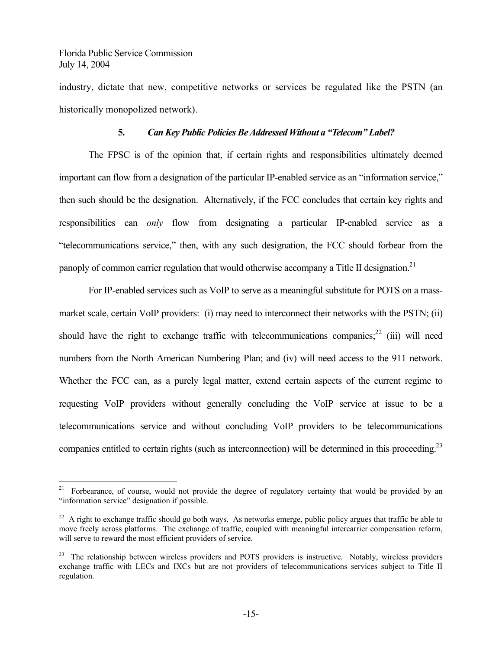1

industry, dictate that new, competitive networks or services be regulated like the PSTN (an historically monopolized network).

#### **5.** *Can Key Public Policies Be Addressed Without a "Telecom" Label?*

The FPSC is of the opinion that, if certain rights and responsibilities ultimately deemed important can flow from a designation of the particular IP-enabled service as an "information service," then such should be the designation. Alternatively, if the FCC concludes that certain key rights and responsibilities can *only* flow from designating a particular IP-enabled service as a "telecommunications service," then, with any such designation, the FCC should forbear from the panoply of common carrier regulation that would otherwise accompany a Title II designation.<sup>21</sup>

For IP-enabled services such as VoIP to serve as a meaningful substitute for POTS on a massmarket scale, certain VoIP providers: (i) may need to interconnect their networks with the PSTN; (ii) should have the right to exchange traffic with telecommunications companies; $^{22}$  (iii) will need numbers from the North American Numbering Plan; and (iv) will need access to the 911 network. Whether the FCC can, as a purely legal matter, extend certain aspects of the current regime to requesting VoIP providers without generally concluding the VoIP service at issue to be a telecommunications service and without concluding VoIP providers to be telecommunications companies entitled to certain rights (such as interconnection) will be determined in this proceeding.<sup>23</sup>

<sup>&</sup>lt;sup>21</sup> Forbearance, of course, would not provide the degree of regulatory certainty that would be provided by an "information service" designation if possible.

 $^{22}$  A right to exchange traffic should go both ways. As networks emerge, public policy argues that traffic be able to move freely across platforms. The exchange of traffic, coupled with meaningful intercarrier compensation reform, will serve to reward the most efficient providers of service.

<sup>&</sup>lt;sup>23</sup> The relationship between wireless providers and POTS providers is instructive. Notably, wireless providers exchange traffic with LECs and IXCs but are not providers of telecommunications services subject to Title II regulation.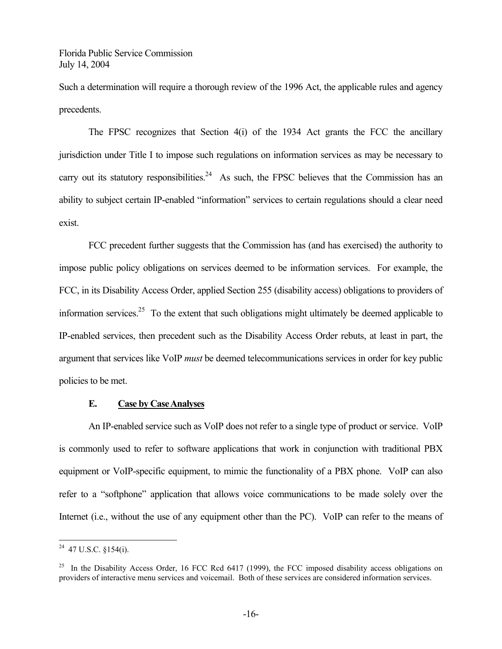Such a determination will require a thorough review of the 1996 Act, the applicable rules and agency precedents.

The FPSC recognizes that Section 4(i) of the 1934 Act grants the FCC the ancillary jurisdiction under Title I to impose such regulations on information services as may be necessary to carry out its statutory responsibilities.<sup>24</sup> As such, the FPSC believes that the Commission has an ability to subject certain IP-enabled "information" services to certain regulations should a clear need exist.

FCC precedent further suggests that the Commission has (and has exercised) the authority to impose public policy obligations on services deemed to be information services. For example, the FCC, in its Disability Access Order, applied Section 255 (disability access) obligations to providers of information services.<sup>25</sup> To the extent that such obligations might ultimately be deemed applicable to IP-enabled services, then precedent such as the Disability Access Order rebuts, at least in part, the argument that services like VoIP *must* be deemed telecommunications services in order for key public policies to be met.

## **E. Case by Case Analyses**

An IP-enabled service such as VoIP does not refer to a single type of product or service. VoIP is commonly used to refer to software applications that work in conjunction with traditional PBX equipment or VoIP-specific equipment, to mimic the functionality of a PBX phone. VoIP can also refer to a "softphone" application that allows voice communications to be made solely over the Internet (i.e., without the use of any equipment other than the PC). VoIP can refer to the means of

1

 $^{24}$  47 U.S.C. §154(i).

<sup>&</sup>lt;sup>25</sup> In the Disability Access Order, 16 FCC Rcd 6417 (1999), the FCC imposed disability access obligations on providers of interactive menu services and voicemail. Both of these services are considered information services.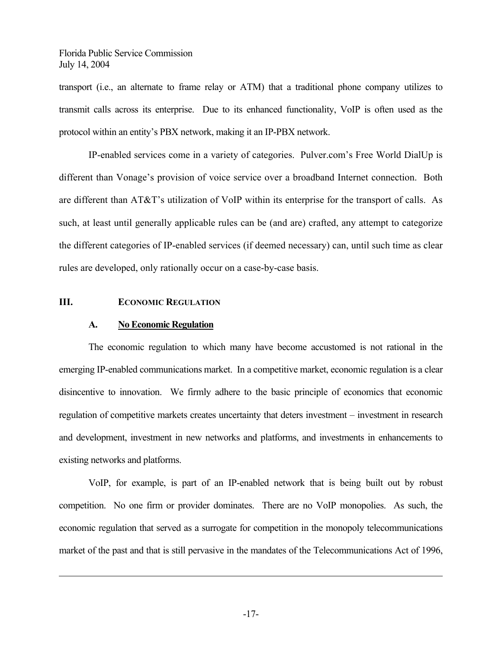transport (i.e., an alternate to frame relay or ATM) that a traditional phone company utilizes to transmit calls across its enterprise. Due to its enhanced functionality, VoIP is often used as the protocol within an entity's PBX network, making it an IP-PBX network.

IP-enabled services come in a variety of categories. Pulver.com's Free World DialUp is different than Vonage's provision of voice service over a broadband Internet connection. Both are different than AT&T's utilization of VoIP within its enterprise for the transport of calls. As such, at least until generally applicable rules can be (and are) crafted, any attempt to categorize the different categories of IP-enabled services (if deemed necessary) can, until such time as clear rules are developed, only rationally occur on a case-by-case basis.

#### **III. ECONOMIC REGULATION**

 $\overline{a}$ 

#### **A. No Economic Regulation**

The economic regulation to which many have become accustomed is not rational in the emerging IP-enabled communications market. In a competitive market, economic regulation is a clear disincentive to innovation. We firmly adhere to the basic principle of economics that economic regulation of competitive markets creates uncertainty that deters investment – investment in research and development, investment in new networks and platforms, and investments in enhancements to existing networks and platforms.

VoIP, for example, is part of an IP-enabled network that is being built out by robust competition. No one firm or provider dominates. There are no VoIP monopolies. As such, the economic regulation that served as a surrogate for competition in the monopoly telecommunications market of the past and that is still pervasive in the mandates of the Telecommunications Act of 1996,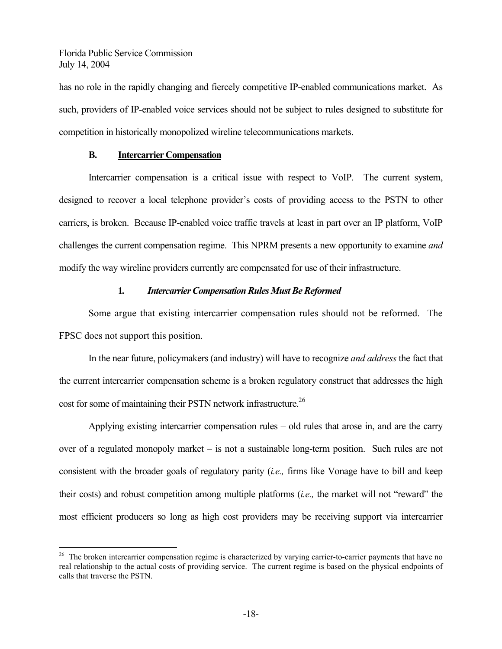<u>.</u>

has no role in the rapidly changing and fiercely competitive IP-enabled communications market. As such, providers of IP-enabled voice services should not be subject to rules designed to substitute for competition in historically monopolized wireline telecommunications markets.

#### **B. Intercarrier Compensation**

Intercarrier compensation is a critical issue with respect to VoIP. The current system, designed to recover a local telephone provider's costs of providing access to the PSTN to other carriers, is broken. Because IP-enabled voice traffic travels at least in part over an IP platform, VoIP challenges the current compensation regime. This NPRM presents a new opportunity to examine *and* modify the way wireline providers currently are compensated for use of their infrastructure.

## **1***. Intercarrier Compensation Rules Must Be Reformed*

Some argue that existing intercarrier compensation rules should not be reformed. The FPSC does not support this position.

In the near future, policymakers (and industry) will have to recognize *and address* the fact that the current intercarrier compensation scheme is a broken regulatory construct that addresses the high cost for some of maintaining their PSTN network infrastructure.<sup>26</sup>

Applying existing intercarrier compensation rules – old rules that arose in, and are the carry over of a regulated monopoly market – is not a sustainable long-term position. Such rules are not consistent with the broader goals of regulatory parity (*i.e.,* firms like Vonage have to bill and keep their costs) and robust competition among multiple platforms (*i.e.,* the market will not "reward" the most efficient producers so long as high cost providers may be receiving support via intercarrier

<sup>&</sup>lt;sup>26</sup> The broken intercarrier compensation regime is characterized by varying carrier-to-carrier payments that have no real relationship to the actual costs of providing service. The current regime is based on the physical endpoints of calls that traverse the PSTN.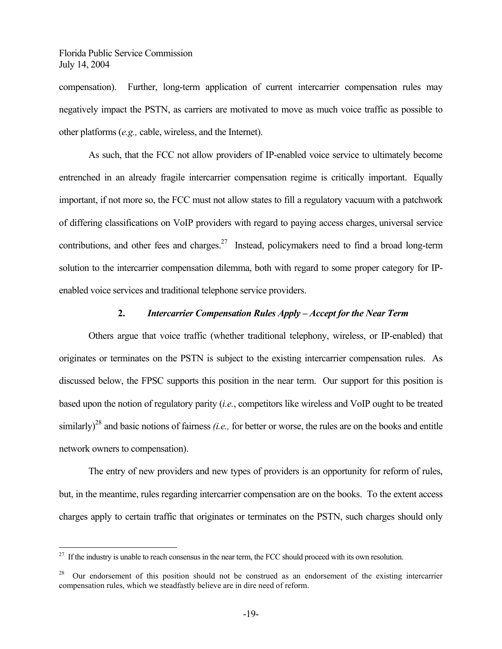<u>.</u>

compensation). Further, long-term application of current intercarrier compensation rules may negatively impact the PSTN, as carriers are motivated to move as much voice traffic as possible to other platforms (*e.g.,* cable, wireless, and the Internet).

As such, that the FCC not allow providers of IP-enabled voice service to ultimately become entrenched in an already fragile intercarrier compensation regime is critically important. Equally important, if not more so, the FCC must not allow states to fill a regulatory vacuum with a patchwork of differing classifications on VoIP providers with regard to paying access charges, universal service contributions, and other fees and charges.<sup>27</sup> Instead, policymakers need to find a broad long-term solution to the intercarrier compensation dilemma, both with regard to some proper category for IPenabled voice services and traditional telephone service providers.

#### **2.** *Intercarrier Compensation Rules Apply – Accept for the Near Term*

Others argue that voice traffic (whether traditional telephony, wireless, or IP-enabled) that originates or terminates on the PSTN is subject to the existing intercarrier compensation rules. As discussed below, the FPSC supports this position in the near term. Our support for this position is based upon the notion of regulatory parity (*i.e.*, competitors like wireless and VoIP ought to be treated similarly)<sup>28</sup> and basic notions of fairness *(i.e.,* for better or worse, the rules are on the books and entitle network owners to compensation).

The entry of new providers and new types of providers is an opportunity for reform of rules, but, in the meantime, rules regarding intercarrier compensation are on the books. To the extent access charges apply to certain traffic that originates or terminates on the PSTN, such charges should only

 $^{27}$  If the industry is unable to reach consensus in the near term, the FCC should proceed with its own resolution.

<sup>&</sup>lt;sup>28</sup> Our endorsement of this position should not be construed as an endorsement of the existing intercarrier compensation rules, which we steadfastly believe are in dire need of reform.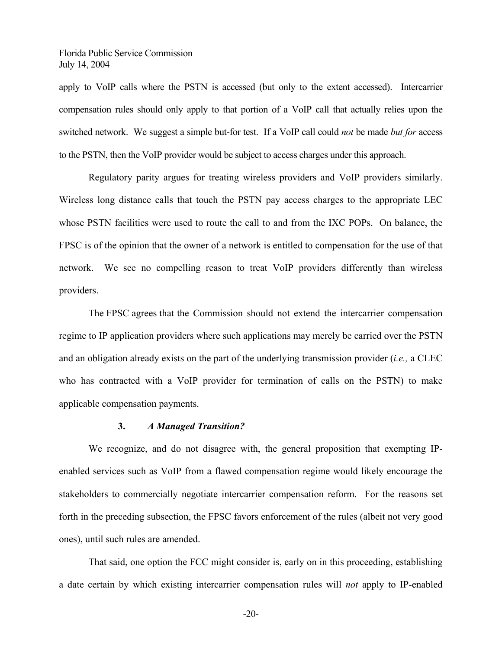apply to VoIP calls where the PSTN is accessed (but only to the extent accessed). Intercarrier compensation rules should only apply to that portion of a VoIP call that actually relies upon the switched network. We suggest a simple but-for test. If a VoIP call could *not* be made *but for* access to the PSTN, then the VoIP provider would be subject to access charges under this approach.

Regulatory parity argues for treating wireless providers and VoIP providers similarly. Wireless long distance calls that touch the PSTN pay access charges to the appropriate LEC whose PSTN facilities were used to route the call to and from the IXC POPs. On balance, the FPSC is of the opinion that the owner of a network is entitled to compensation for the use of that network. We see no compelling reason to treat VoIP providers differently than wireless providers.

The FPSC agrees that the Commission should not extend the intercarrier compensation regime to IP application providers where such applications may merely be carried over the PSTN and an obligation already exists on the part of the underlying transmission provider (*i.e.,* a CLEC who has contracted with a VoIP provider for termination of calls on the PSTN) to make applicable compensation payments.

#### **3.** *A Managed Transition?*

We recognize, and do not disagree with, the general proposition that exempting IPenabled services such as VoIP from a flawed compensation regime would likely encourage the stakeholders to commercially negotiate intercarrier compensation reform. For the reasons set forth in the preceding subsection, the FPSC favors enforcement of the rules (albeit not very good ones), until such rules are amended.

That said, one option the FCC might consider is, early on in this proceeding, establishing a date certain by which existing intercarrier compensation rules will *not* apply to IP-enabled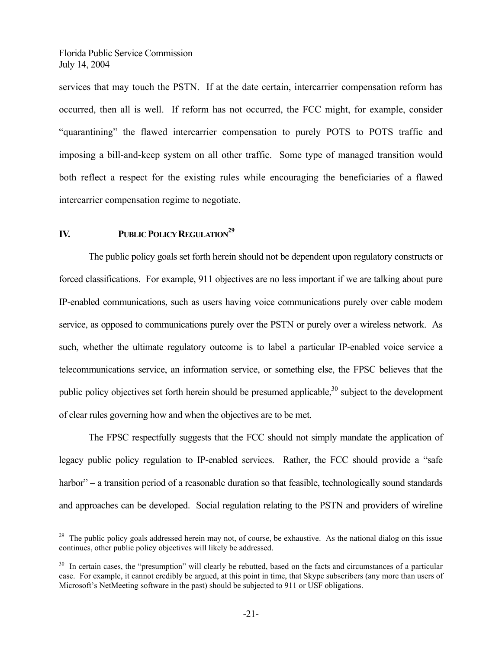services that may touch the PSTN. If at the date certain, intercarrier compensation reform has occurred, then all is well. If reform has not occurred, the FCC might, for example, consider "quarantining" the flawed intercarrier compensation to purely POTS to POTS traffic and imposing a bill-and-keep system on all other traffic. Some type of managed transition would both reflect a respect for the existing rules while encouraging the beneficiaries of a flawed intercarrier compensation regime to negotiate.

## **IV.** PUBLIC POLICY REGULATION<sup>29</sup>

 $\overline{a}$ 

The public policy goals set forth herein should not be dependent upon regulatory constructs or forced classifications. For example, 911 objectives are no less important if we are talking about pure IP-enabled communications, such as users having voice communications purely over cable modem service, as opposed to communications purely over the PSTN or purely over a wireless network. As such, whether the ultimate regulatory outcome is to label a particular IP-enabled voice service a telecommunications service, an information service, or something else, the FPSC believes that the public policy objectives set forth herein should be presumed applicable, $30$  subject to the development of clear rules governing how and when the objectives are to be met.

The FPSC respectfully suggests that the FCC should not simply mandate the application of legacy public policy regulation to IP-enabled services. Rather, the FCC should provide a "safe harbor" – a transition period of a reasonable duration so that feasible, technologically sound standards and approaches can be developed. Social regulation relating to the PSTN and providers of wireline

 $29$  The public policy goals addressed herein may not, of course, be exhaustive. As the national dialog on this issue continues, other public policy objectives will likely be addressed.

 $30\,$  In certain cases, the "presumption" will clearly be rebutted, based on the facts and circumstances of a particular case. For example, it cannot credibly be argued, at this point in time, that Skype subscribers (any more than users of Microsoft's NetMeeting software in the past) should be subjected to 911 or USF obligations.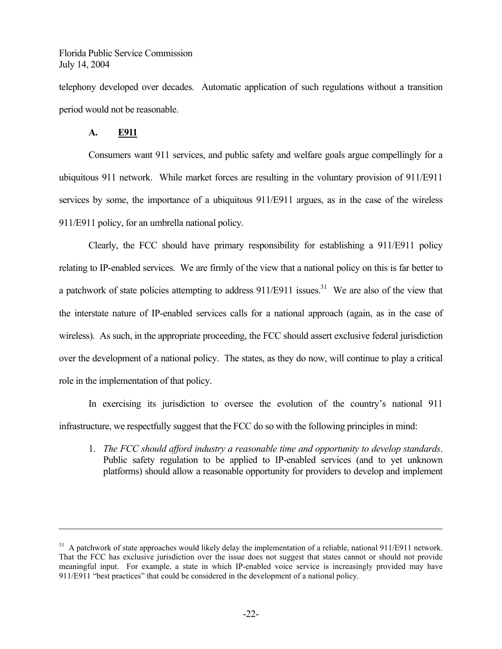telephony developed over decades. Automatic application of such regulations without a transition period would not be reasonable.

## **A. E911**

 $\overline{a}$ 

Consumers want 911 services, and public safety and welfare goals argue compellingly for a ubiquitous 911 network. While market forces are resulting in the voluntary provision of 911/E911 services by some, the importance of a ubiquitous 911/E911 argues, as in the case of the wireless 911/E911 policy, for an umbrella national policy.

Clearly, the FCC should have primary responsibility for establishing a 911/E911 policy relating to IP-enabled services. We are firmly of the view that a national policy on this is far better to a patchwork of state policies attempting to address  $911/E911$  issues.<sup>31</sup> We are also of the view that the interstate nature of IP-enabled services calls for a national approach (again, as in the case of wireless). As such, in the appropriate proceeding, the FCC should assert exclusive federal jurisdiction over the development of a national policy. The states, as they do now, will continue to play a critical role in the implementation of that policy.

In exercising its jurisdiction to oversee the evolution of the country's national 911 infrastructure, we respectfully suggest that the FCC do so with the following principles in mind:

1. *The FCC should afford industry a reasonable time and opportunity to develop standards*. Public safety regulation to be applied to IP-enabled services (and to yet unknown platforms) should allow a reasonable opportunity for providers to develop and implement

 $31$  A patchwork of state approaches would likely delay the implementation of a reliable, national 911/E911 network. That the FCC has exclusive jurisdiction over the issue does not suggest that states cannot or should not provide meaningful input. For example, a state in which IP-enabled voice service is increasingly provided may have 911/E911 "best practices" that could be considered in the development of a national policy.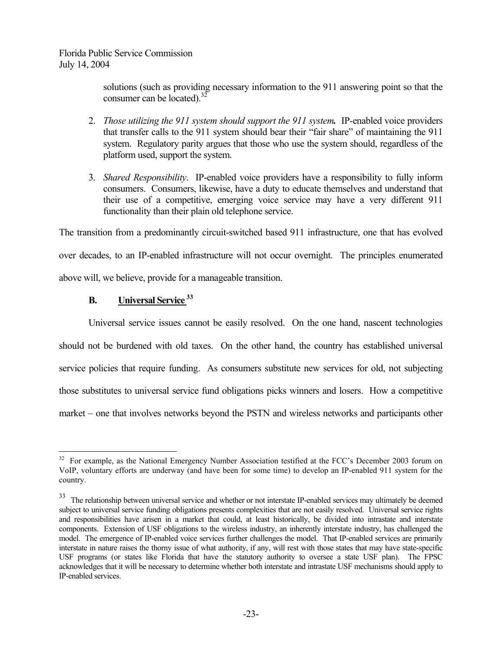> solutions (such as providing necessary information to the 911 answering point so that the consumer can be located). $32$

- 2. *Those utilizing the 911 system should support the 911 system.* IP-enabled voice providers that transfer calls to the 911 system should bear their "fair share" of maintaining the 911 system. Regulatory parity argues that those who use the system should, regardless of the platform used, support the system.
- 3. *Shared Responsibility*. IP-enabled voice providers have a responsibility to fully inform consumers. Consumers, likewise, have a duty to educate themselves and understand that their use of a competitive, emerging voice service may have a very different 911 functionality than their plain old telephone service.

The transition from a predominantly circuit-switched based 911 infrastructure, one that has evolved

over decades, to an IP-enabled infrastructure will not occur overnight. The principles enumerated above will, we believe, provide for a manageable transition.

# **B. Universal Service <sup>33</sup>**

 $\overline{a}$ 

Universal service issues cannot be easily resolved. On the one hand, nascent technologies should not be burdened with old taxes. On the other hand, the country has established universal service policies that require funding. As consumers substitute new services for old, not subjecting those substitutes to universal service fund obligations picks winners and losers. How a competitive market – one that involves networks beyond the PSTN and wireless networks and participants other

<sup>&</sup>lt;sup>32</sup> For example, as the National Emergency Number Association testified at the FCC's December 2003 forum on VoIP, voluntary efforts are underway (and have been for some time) to develop an IP-enabled 911 system for the country.

<sup>&</sup>lt;sup>33</sup> The relationship between universal service and whether or not interstate IP-enabled services may ultimately be deemed subject to universal service funding obligations presents complexities that are not easily resolved. Universal service rights and responsibilities have arisen in a market that could, at least historically, be divided into intrastate and interstate components. Extension of USF obligations to the wireless industry, an inherently interstate industry, has challenged the model. The emergence of IP-enabled voice services further challenges the model. That IP-enabled services are primarily interstate in nature raises the thorny issue of what authority, if any, will rest with those states that may have state-specific USF programs (or states like Florida that have the statutory authority to oversee a state USF plan). The FPSC acknowledges that it will be necessary to determine whether both interstate and intrastate USF mechanisms should apply to IP-enabled services.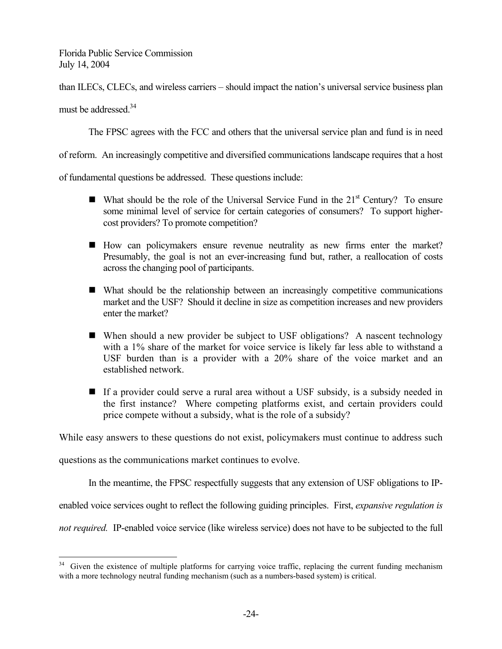than ILECs, CLECs, and wireless carriers – should impact the nation's universal service business plan

must be addressed.<sup>34</sup>

 $\overline{a}$ 

The FPSC agrees with the FCC and others that the universal service plan and fund is in need

of reform. An increasingly competitive and diversified communications landscape requires that a host

of fundamental questions be addressed. These questions include:

- What should be the role of the Universal Service Fund in the  $21<sup>st</sup>$  Century? To ensure some minimal level of service for certain categories of consumers? To support highercost providers? To promote competition?
- How can policymakers ensure revenue neutrality as new firms enter the market? Presumably, the goal is not an ever-increasing fund but, rather, a reallocation of costs across the changing pool of participants.
- What should be the relationship between an increasingly competitive communications market and the USF? Should it decline in size as competition increases and new providers enter the market?
- When should a new provider be subject to USF obligations? A nascent technology with a 1% share of the market for voice service is likely far less able to withstand a USF burden than is a provider with a 20% share of the voice market and an established network.
- If a provider could serve a rural area without a USF subsidy, is a subsidy needed in the first instance? Where competing platforms exist, and certain providers could price compete without a subsidy, what is the role of a subsidy?

While easy answers to these questions do not exist, policymakers must continue to address such

questions as the communications market continues to evolve.

In the meantime, the FPSC respectfully suggests that any extension of USF obligations to IP-

enabled voice services ought to reflect the following guiding principles. First, *expansive regulation is* 

*not required.* IP-enabled voice service (like wireless service) does not have to be subjected to the full

<sup>&</sup>lt;sup>34</sup> Given the existence of multiple platforms for carrying voice traffic, replacing the current funding mechanism with a more technology neutral funding mechanism (such as a numbers-based system) is critical.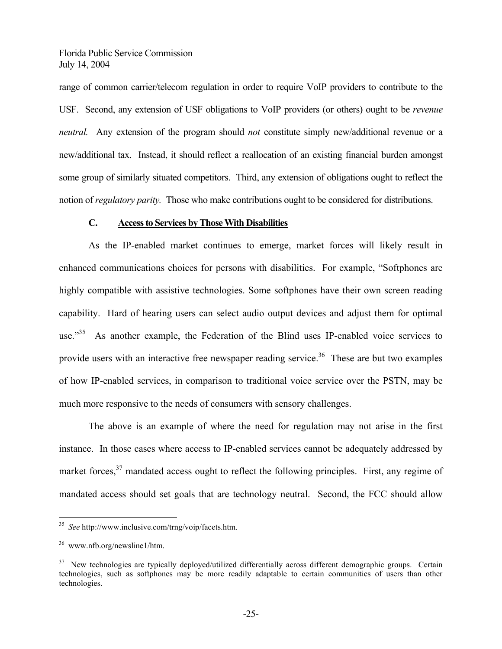range of common carrier/telecom regulation in order to require VoIP providers to contribute to the USF. Second, any extension of USF obligations to VoIP providers (or others) ought to be *revenue neutral.* Any extension of the program should *not* constitute simply new/additional revenue or a new/additional tax. Instead, it should reflect a reallocation of an existing financial burden amongst some group of similarly situated competitors. Third, any extension of obligations ought to reflect the notion of *regulatory parity.* Those who make contributions ought to be considered for distributions.

## **C. Access to Services by Those With Disabilities**

As the IP-enabled market continues to emerge, market forces will likely result in enhanced communications choices for persons with disabilities. For example, "Softphones are highly compatible with assistive technologies. Some softphones have their own screen reading capability. Hard of hearing users can select audio output devices and adjust them for optimal use."<sup>35</sup> As another example, the Federation of the Blind uses IP-enabled voice services to provide users with an interactive free newspaper reading service.<sup>36</sup> These are but two examples of how IP-enabled services, in comparison to traditional voice service over the PSTN, may be much more responsive to the needs of consumers with sensory challenges.

The above is an example of where the need for regulation may not arise in the first instance. In those cases where access to IP-enabled services cannot be adequately addressed by market forces,  $37$  mandated access ought to reflect the following principles. First, any regime of mandated access should set goals that are technology neutral. Second, the FCC should allow

1

<sup>35</sup> *See* http://www.inclusive.com/trng/voip/facets.htm.

<sup>36</sup> www.nfb.org/newsline1/htm.

<sup>&</sup>lt;sup>37</sup> New technologies are typically deployed/utilized differentially across different demographic groups. Certain technologies, such as softphones may be more readily adaptable to certain communities of users than other technologies.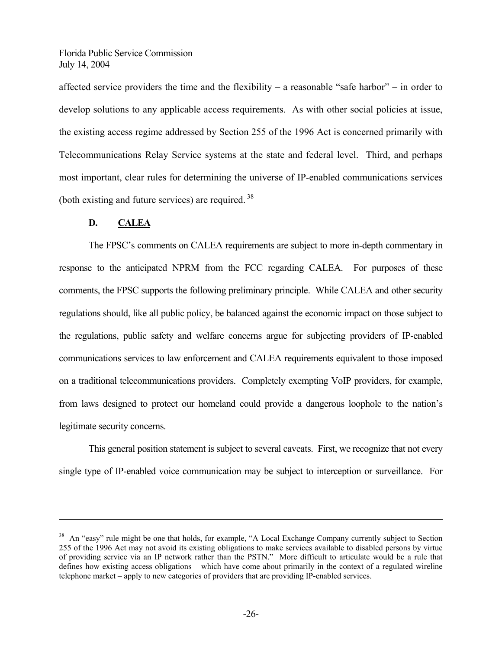affected service providers the time and the flexibility – a reasonable "safe harbor" – in order to develop solutions to any applicable access requirements. As with other social policies at issue, the existing access regime addressed by Section 255 of the 1996 Act is concerned primarily with Telecommunications Relay Service systems at the state and federal level. Third, and perhaps most important, clear rules for determining the universe of IP-enabled communications services (both existing and future services) are required. 38

## **D. CALEA**

<u>.</u>

The FPSC's comments on CALEA requirements are subject to more in-depth commentary in response to the anticipated NPRM from the FCC regarding CALEA. For purposes of these comments, the FPSC supports the following preliminary principle. While CALEA and other security regulations should, like all public policy, be balanced against the economic impact on those subject to the regulations, public safety and welfare concerns argue for subjecting providers of IP-enabled communications services to law enforcement and CALEA requirements equivalent to those imposed on a traditional telecommunications providers. Completely exempting VoIP providers, for example, from laws designed to protect our homeland could provide a dangerous loophole to the nation's legitimate security concerns.

This general position statement is subject to several caveats. First, we recognize that not every single type of IP-enabled voice communication may be subject to interception or surveillance. For

<sup>&</sup>lt;sup>38</sup> An "easy" rule might be one that holds, for example, "A Local Exchange Company currently subject to Section 255 of the 1996 Act may not avoid its existing obligations to make services available to disabled persons by virtue of providing service via an IP network rather than the PSTN." More difficult to articulate would be a rule that defines how existing access obligations – which have come about primarily in the context of a regulated wireline telephone market – apply to new categories of providers that are providing IP-enabled services.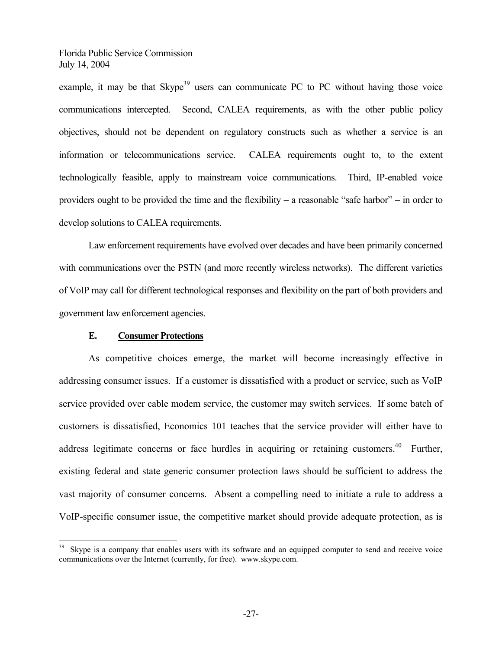example, it may be that  $\text{Skype}^{39}$  users can communicate PC to PC without having those voice communications intercepted. Second, CALEA requirements, as with the other public policy objectives, should not be dependent on regulatory constructs such as whether a service is an information or telecommunications service. CALEA requirements ought to, to the extent technologically feasible, apply to mainstream voice communications. Third, IP-enabled voice providers ought to be provided the time and the flexibility – a reasonable "safe harbor" – in order to develop solutions to CALEA requirements.

Law enforcement requirements have evolved over decades and have been primarily concerned with communications over the PSTN (and more recently wireless networks). The different varieties of VoIP may call for different technological responses and flexibility on the part of both providers and government law enforcement agencies.

#### **E. Consumer Protections**

 $\overline{a}$ 

As competitive choices emerge, the market will become increasingly effective in addressing consumer issues. If a customer is dissatisfied with a product or service, such as VoIP service provided over cable modem service, the customer may switch services. If some batch of customers is dissatisfied, Economics 101 teaches that the service provider will either have to address legitimate concerns or face hurdles in acquiring or retaining customers.<sup>40</sup> Further, existing federal and state generic consumer protection laws should be sufficient to address the vast majority of consumer concerns. Absent a compelling need to initiate a rule to address a VoIP-specific consumer issue, the competitive market should provide adequate protection, as is

<sup>&</sup>lt;sup>39</sup> Skype is a company that enables users with its software and an equipped computer to send and receive voice communications over the Internet (currently, for free). www.skype.com.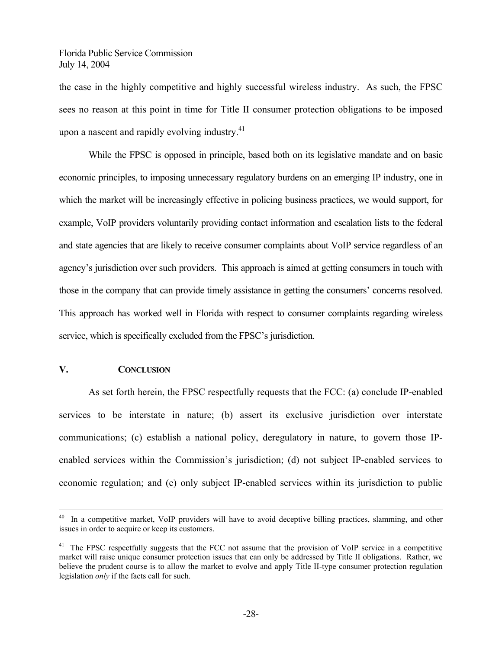the case in the highly competitive and highly successful wireless industry. As such, the FPSC sees no reason at this point in time for Title II consumer protection obligations to be imposed upon a nascent and rapidly evolving industry.<sup>41</sup>

While the FPSC is opposed in principle, based both on its legislative mandate and on basic economic principles, to imposing unnecessary regulatory burdens on an emerging IP industry, one in which the market will be increasingly effective in policing business practices, we would support, for example, VoIP providers voluntarily providing contact information and escalation lists to the federal and state agencies that are likely to receive consumer complaints about VoIP service regardless of an agency's jurisdiction over such providers. This approach is aimed at getting consumers in touch with those in the company that can provide timely assistance in getting the consumers' concerns resolved. This approach has worked well in Florida with respect to consumer complaints regarding wireless service, which is specifically excluded from the FPSC's jurisdiction.

## **V. CONCLUSION**

As set forth herein, the FPSC respectfully requests that the FCC: (a) conclude IP-enabled services to be interstate in nature; (b) assert its exclusive jurisdiction over interstate communications; (c) establish a national policy, deregulatory in nature, to govern those IPenabled services within the Commission's jurisdiction; (d) not subject IP-enabled services to economic regulation; and (e) only subject IP-enabled services within its jurisdiction to public

<sup>&</sup>lt;sup>40</sup> In a competitive market, VoIP providers will have to avoid deceptive billing practices, slamming, and other issues in order to acquire or keep its customers.

<sup>&</sup>lt;sup>41</sup> The FPSC respectfully suggests that the FCC not assume that the provision of VoIP service in a competitive market will raise unique consumer protection issues that can only be addressed by Title II obligations. Rather, we believe the prudent course is to allow the market to evolve and apply Title II-type consumer protection regulation legislation *only* if the facts call for such.